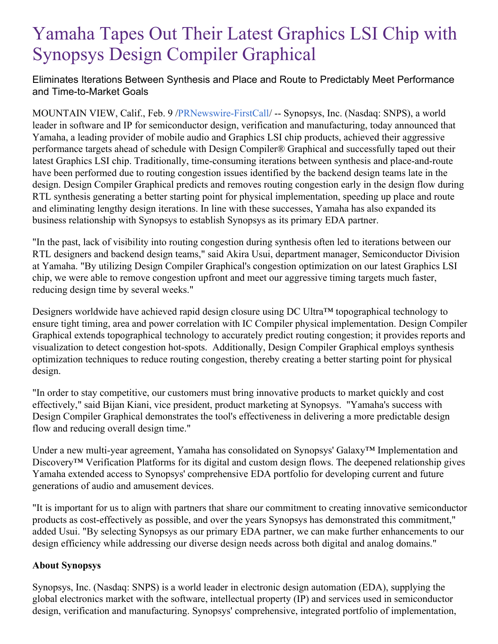## Yamaha Tapes Out Their Latest Graphics LSI Chip with Synopsys Design Compiler Graphical

Eliminates Iterations Between Synthesis and Place and Route to Predictably Meet Performance and Time-to-Market Goals

MOUNTAIN VIEW, Calif., Feb. 9 [/PRNewswire-FirstCall](http://www.prnewswire.com/)/ -- Synopsys, Inc. (Nasdaq: SNPS), a world leader in software and IP for semiconductor design, verification and manufacturing, today announced that Yamaha, a leading provider of mobile audio and Graphics LSI chip products, achieved their aggressive performance targets ahead of schedule with Design Compiler® Graphical and successfully taped out their latest Graphics LSI chip. Traditionally, time-consuming iterations between synthesis and place-and-route have been performed due to routing congestion issues identified by the backend design teams late in the design. Design Compiler Graphical predicts and removes routing congestion early in the design flow during RTL synthesis generating a better starting point for physical implementation, speeding up place and route and eliminating lengthy design iterations. In line with these successes, Yamaha has also expanded its business relationship with Synopsys to establish Synopsys as its primary EDA partner.

"In the past, lack of visibility into routing congestion during synthesis often led to iterations between our RTL designers and backend design teams," said Akira Usui, department manager, Semiconductor Division at Yamaha. "By utilizing Design Compiler Graphical's congestion optimization on our latest Graphics LSI chip, we were able to remove congestion upfront and meet our aggressive timing targets much faster, reducing design time by several weeks."

Designers worldwide have achieved rapid design closure using DC Ultra™ topographical technology to ensure tight timing, area and power correlation with IC Compiler physical implementation. Design Compiler Graphical extends topographical technology to accurately predict routing congestion; it provides reports and visualization to detect congestion hot-spots. Additionally, Design Compiler Graphical employs synthesis optimization techniques to reduce routing congestion, thereby creating a better starting point for physical design.

"In order to stay competitive, our customers must bring innovative products to market quickly and cost effectively," said Bijan Kiani, vice president, product marketing at Synopsys. "Yamaha's success with Design Compiler Graphical demonstrates the tool's effectiveness in delivering a more predictable design flow and reducing overall design time."

Under a new multi-year agreement, Yamaha has consolidated on Synopsys' Galaxy™ Implementation and Discovery™ Verification Platforms for its digital and custom design flows. The deepened relationship gives Yamaha extended access to Synopsys' comprehensive EDA portfolio for developing current and future generations of audio and amusement devices.

"It is important for us to align with partners that share our commitment to creating innovative semiconductor products as cost-effectively as possible, and over the years Synopsys has demonstrated this commitment," added Usui. "By selecting Synopsys as our primary EDA partner, we can make further enhancements to our design efficiency while addressing our diverse design needs across both digital and analog domains."

## **About Synopsys**

Synopsys, Inc. (Nasdaq: SNPS) is a world leader in electronic design automation (EDA), supplying the global electronics market with the software, intellectual property (IP) and services used in semiconductor design, verification and manufacturing. Synopsys' comprehensive, integrated portfolio of implementation,